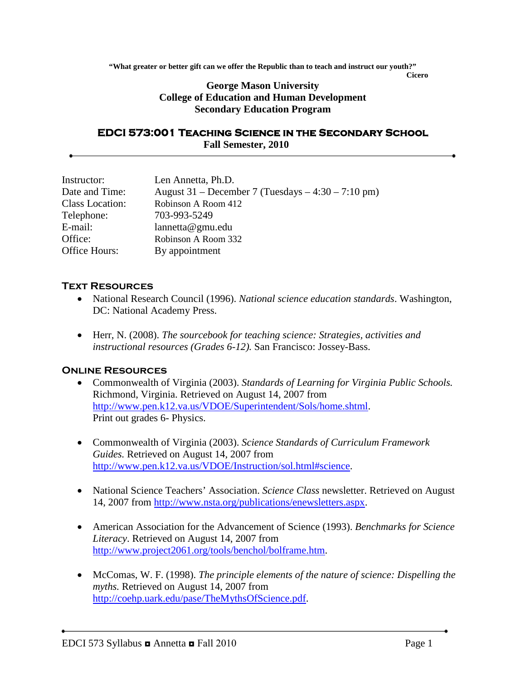**"What greater or better gift can we offer the Republic than to teach and instruct our youth?"**

**Cicero**

## **George Mason University College of Education and Human Development Secondary Education Program**

## **EDCI 573:001 Teaching Science in the Secondary School Fall Semester, 2010**

| Len Annetta, Ph.D.                                   |
|------------------------------------------------------|
| August 31 – December 7 (Tuesdays – $4:30 - 7:10$ pm) |
| Robinson A Room 412                                  |
| 703-993-5249                                         |
| $l$ annetta@gmu.edu                                  |
| Robinson A Room 332                                  |
| By appointment                                       |
|                                                      |

## **Text Resources**

- National Research Council (1996). *National science education standards*. Washington, DC: National Academy Press.
- Herr, N. (2008). *The sourcebook for teaching science: Strategies, activities and instructional resources (Grades 6-12).* San Francisco: Jossey-Bass.

## **Online Resources**

- Commonwealth of Virginia (2003). *Standards of Learning for Virginia Public Schools.* Richmond, Virginia. Retrieved on August 14, 2007 from [http://www.pen.k12.va.us/VDOE/Superintendent/Sols/home.shtml.](http://www.pen.k12.va.us/VDOE/Superintendent/Sols/home.shtml) Print out grades 6- Physics.
- Commonwealth of Virginia (2003). *Science Standards of Curriculum Framework Guides.* Retrieved on August 14, 2007 from [http://www.pen.k12.va.us/VDOE/Instruction/sol.html#science.](http://www.pen.k12.va.us/VDOE/Instruction/sol.html#science)
- National Science Teachers' Association. *Science Class* newsletter. Retrieved on August 14, 2007 from [http://www.nsta.org/publications/enewsletters.aspx.](http://www.nsta.org/publications/enewsletters.aspx)
- American Association for the Advancement of Science (1993). *Benchmarks for Science Literacy*. Retrieved on August 14, 2007 from [http://www.project2061.org/tools/benchol/bolframe.htm.](http://www.project2061.org/tools/benchol/bolframe.htm)
- McComas, W. F. (1998). *The principle elements of the nature of science: Dispelling the myths.* Retrieved on August 14, 2007 from [http://coehp.uark.edu/pase/TheMythsOfScience.pdf.](http://coehp.uark.edu/pase/TheMythsOfScience.pdf)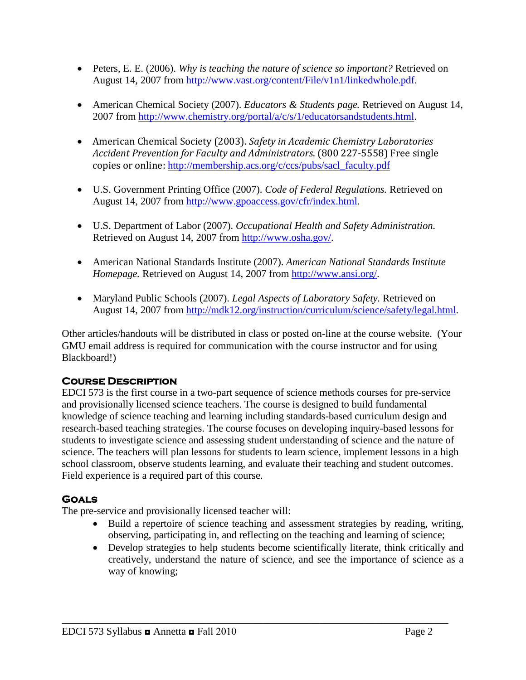- Peters, E. E. (2006). *Why is teaching the nature of science so important?* Retrieved on August 14, 2007 from [http://www.vast.org/content/File/v1n1/linkedwhole.pdf.](http://www.vast.org/content/File/v1n1/linkedwhole.pdf)
- American Chemical Society (2007). *Educators & Students page.* Retrieved on August 14, 2007 from [http://www.chemistry.org/portal/a/c/s/1/educatorsandstudents.html.](http://www.chemistry.org/portal/a/c/s/1/educatorsandstudents.html)
- American Chemical Society (2003). *Safety in Academic Chemistry Laboratories Accident Prevention for Faculty and Administrators*. (800 227-5558) Free single copies or online: [http://membership.acs.org/c/ccs/pubs/sacl\\_faculty.pdf](http://membership.acs.org/c/ccs/pubs/sacl_faculty.pdf)
- U.S. Government Printing Office (2007). *Code of Federal Regulations.* Retrieved on August 14, 2007 from [http://www.gpoaccess.gov/cfr/index.html.](http://www.gpoaccess.gov/cfr/index.html)
- U.S. Department of Labor (2007). *Occupational Health and Safety Administration.*  Retrieved on August 14, 2007 from [http://www.osha.gov/.](http://www.osha.gov/)
- American National Standards Institute (2007). *American National Standards Institute Homepage.* Retrieved on August 14, 2007 from [http://www.ansi.org/.](http://www.ansi.org/)
- Maryland Public Schools (2007). *Legal Aspects of Laboratory Safety.* Retrieved on August 14, 2007 from [http://mdk12.org/instruction/curriculum/science/safety/legal.html.](http://mdk12.org/instruction/curriculum/science/safety/legal.html)

Other articles/handouts will be distributed in class or posted on-line at the course website. (Your GMU email address is required for communication with the course instructor and for using Blackboard!)

## **Course Description**

EDCI 573 is the first course in a two-part sequence of science methods courses for pre-service and provisionally licensed science teachers. The course is designed to build fundamental knowledge of science teaching and learning including standards-based curriculum design and research-based teaching strategies. The course focuses on developing inquiry-based lessons for students to investigate science and assessing student understanding of science and the nature of science. The teachers will plan lessons for students to learn science, implement lessons in a high school classroom, observe students learning, and evaluate their teaching and student outcomes. Field experience is a required part of this course.

# **Goals**

The pre-service and provisionally licensed teacher will:

- Build a repertoire of science teaching and assessment strategies by reading, writing, observing, participating in, and reflecting on the teaching and learning of science;
- Develop strategies to help students become scientifically literate, think critically and creatively, understand the nature of science, and see the importance of science as a way of knowing;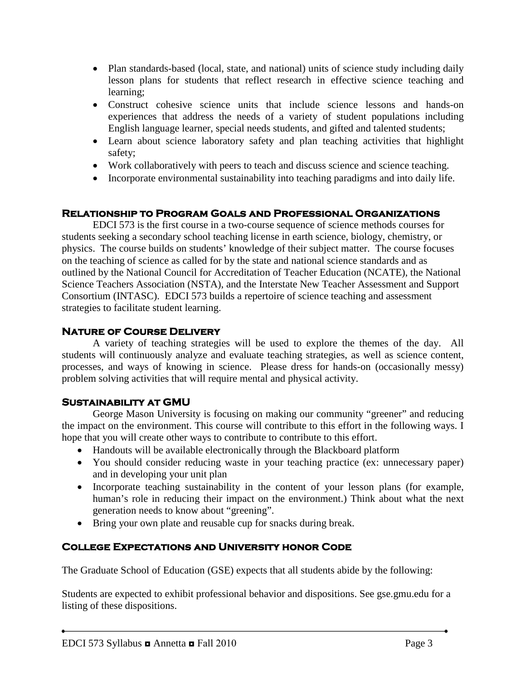- Plan standards-based (local, state, and national) units of science study including daily lesson plans for students that reflect research in effective science teaching and learning;
- Construct cohesive science units that include science lessons and hands-on experiences that address the needs of a variety of student populations including English language learner, special needs students, and gifted and talented students;
- Learn about science laboratory safety and plan teaching activities that highlight safety;
- Work collaboratively with peers to teach and discuss science and science teaching.
- Incorporate environmental sustainability into teaching paradigms and into daily life.

## **Relationship to Program Goals and Professional Organizations**

EDCI 573 is the first course in a two-course sequence of science methods courses for students seeking a secondary school teaching license in earth science, biology, chemistry, or physics. The course builds on students' knowledge of their subject matter. The course focuses on the teaching of science as called for by the state and national science standards and as outlined by the National Council for Accreditation of Teacher Education (NCATE), the National Science Teachers Association (NSTA), and the Interstate New Teacher Assessment and Support Consortium (INTASC). EDCI 573 builds a repertoire of science teaching and assessment strategies to facilitate student learning.

## **Nature of Course Delivery**

A variety of teaching strategies will be used to explore the themes of the day. All students will continuously analyze and evaluate teaching strategies, as well as science content, processes, and ways of knowing in science. Please dress for hands-on (occasionally messy) problem solving activities that will require mental and physical activity.

## **Sustainability at GMU**

George Mason University is focusing on making our community "greener" and reducing the impact on the environment. This course will contribute to this effort in the following ways. I hope that you will create other ways to contribute to contribute to this effort.

- Handouts will be available electronically through the Blackboard platform
- You should consider reducing waste in your teaching practice (ex: unnecessary paper) and in developing your unit plan
- Incorporate teaching sustainability in the content of your lesson plans (for example, human's role in reducing their impact on the environment.) Think about what the next generation needs to know about "greening".
- Bring your own plate and reusable cup for snacks during break.

# **College Expectations and University honor Code**

The Graduate School of Education (GSE) expects that all students abide by the following:

Students are expected to exhibit professional behavior and dispositions. See gse.gmu.edu for a listing of these dispositions.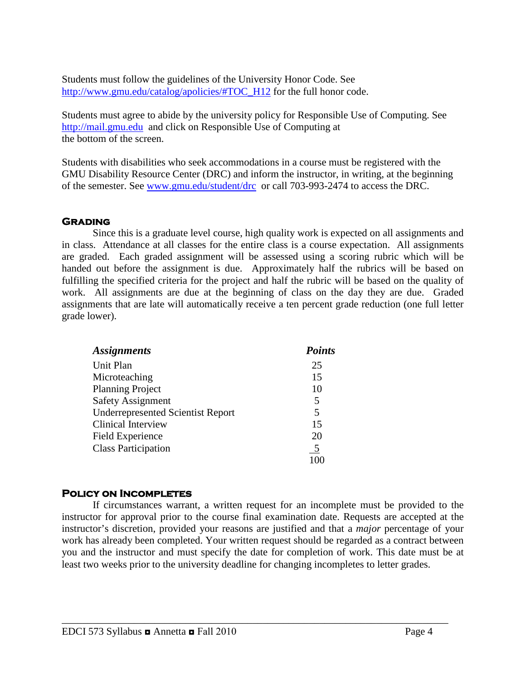Students must follow the guidelines of the University Honor Code. See [http://www.gmu.edu/catalog/apolicies/#TOC\\_H12](http://www.gmu.edu/catalog/apolicies/#TOC_H12) for the full honor code.

Students must agree to abide by the university policy for Responsible Use of Computing. See [http://mail.gmu.edu](http://mail.gmu.edu/) and click on Responsible Use of Computing at the bottom of the screen.

Students with disabilities who seek accommodations in a course must be registered with the GMU Disability Resource Center (DRC) and inform the instructor, in writing, at the beginning of the semester. See [www.gmu.edu/student/drc](http://www.gmu.edu/student/drc) or call 703-993-2474 to access the DRC.

## **Grading**

Since this is a graduate level course, high quality work is expected on all assignments and in class. Attendance at all classes for the entire class is a course expectation. All assignments are graded. Each graded assignment will be assessed using a scoring rubric which will be handed out before the assignment is due. Approximately half the rubrics will be based on fulfilling the specified criteria for the project and half the rubric will be based on the quality of work. All assignments are due at the beginning of class on the day they are due. Graded assignments that are late will automatically receive a ten percent grade reduction (one full letter grade lower).

| <b>Assignments</b>                       | <b>Points</b> |
|------------------------------------------|---------------|
| Unit Plan                                | 25            |
| Microteaching                            | 15            |
| <b>Planning Project</b>                  | 10            |
| <b>Safety Assignment</b>                 | 5             |
| <b>Underrepresented Scientist Report</b> | 5             |
| <b>Clinical Interview</b>                | 15            |
| <b>Field Experience</b>                  | 20            |
| <b>Class Participation</b>               | $\frac{5}{2}$ |
|                                          |               |

## **Policy on Incompletes**

If circumstances warrant, a written request for an incomplete must be provided to the instructor for approval prior to the course final examination date. Requests are accepted at the instructor's discretion, provided your reasons are justified and that a *major* percentage of your work has already been completed. Your written request should be regarded as a contract between you and the instructor and must specify the date for completion of work. This date must be at least two weeks prior to the university deadline for changing incompletes to letter grades.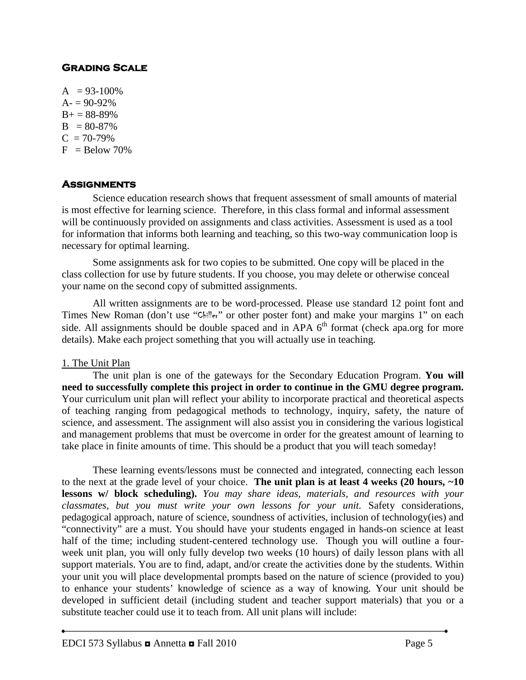## **Grading Scale**

 $A = 93-100\%$  $A = 90 - 92%$  $B+ = 88-89%$  $B = 80-87%$  $C = 70-79%$  $F =$ Below 70%

## **Assignments**

Science education research shows that frequent assessment of small amounts of material is most effective for learning science. Therefore, in this class formal and informal assessment will be continuously provided on assignments and class activities. Assessment is used as a tool for information that informs both learning and teaching, so this two-way communication loop is necessary for optimal learning.

Some assignments ask for two copies to be submitted. One copy will be placed in the class collection for use by future students. If you choose, you may delete or otherwise conceal your name on the second copy of submitted assignments.

All written assignments are to be word-processed. Please use standard 12 point font and Times New Roman (don't use "Chiller" or other poster font) and make your margins 1" on each side. All assignments should be double spaced and in APA  $6<sup>th</sup>$  format (check apa.org for more details). Make each project something that you will actually use in teaching.

#### 1. The Unit Plan

The unit plan is one of the gateways for the Secondary Education Program. **You will need to successfully complete this project in order to continue in the GMU degree program.** Your curriculum unit plan will reflect your ability to incorporate practical and theoretical aspects of teaching ranging from pedagogical methods to technology, inquiry, safety, the nature of science, and assessment. The assignment will also assist you in considering the various logistical and management problems that must be overcome in order for the greatest amount of learning to take place in finite amounts of time. This should be a product that you will teach someday!

These learning events/lessons must be connected and integrated, connecting each lesson to the next at the grade level of your choice. **The unit plan is at least 4 weeks (20 hours, ~10 lessons w/ block scheduling).** *You may share ideas, materials, and resources with your classmates, but you must write your own lessons for your unit.* Safety considerations, pedagogical approach, nature of science, soundness of activities, inclusion of technology(ies) and "connectivity" are a must. You should have your students engaged in hands-on science at least half of the time; including student-centered technology use. Though you will outline a fourweek unit plan, you will only fully develop two weeks (10 hours) of daily lesson plans with all support materials. You are to find, adapt, and/or create the activities done by the students. Within your unit you will place developmental prompts based on the nature of science (provided to you) to enhance your students' knowledge of science as a way of knowing. Your unit should be developed in sufficient detail (including student and teacher support materials) that you or a substitute teacher could use it to teach from. All unit plans will include: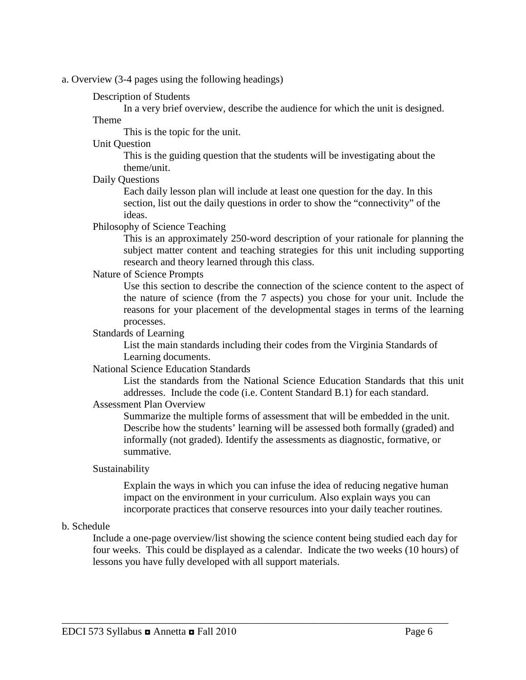a. Overview (3-4 pages using the following headings)

## Description of Students

In a very brief overview, describe the audience for which the unit is designed.

#### Theme

This is the topic for the unit.

#### Unit Question

This is the guiding question that the students will be investigating about the theme/unit.

Daily Questions

Each daily lesson plan will include at least one question for the day. In this section, list out the daily questions in order to show the "connectivity" of the ideas.

#### Philosophy of Science Teaching

This is an approximately 250-word description of your rationale for planning the subject matter content and teaching strategies for this unit including supporting research and theory learned through this class.

#### Nature of Science Prompts

Use this section to describe the connection of the science content to the aspect of the nature of science (from the 7 aspects) you chose for your unit. Include the reasons for your placement of the developmental stages in terms of the learning processes.

#### Standards of Learning

List the main standards including their codes from the Virginia Standards of Learning documents.

#### National Science Education Standards

List the standards from the National Science Education Standards that this unit addresses. Include the code (i.e. Content Standard B.1) for each standard.

## Assessment Plan Overview

Summarize the multiple forms of assessment that will be embedded in the unit. Describe how the students' learning will be assessed both formally (graded) and informally (not graded). Identify the assessments as diagnostic, formative, or summative.

#### Sustainability

Explain the ways in which you can infuse the idea of reducing negative human impact on the environment in your curriculum. Also explain ways you can incorporate practices that conserve resources into your daily teacher routines.

#### b. Schedule

Include a one-page overview/list showing the science content being studied each day for four weeks. This could be displayed as a calendar. Indicate the two weeks (10 hours) of lessons you have fully developed with all support materials.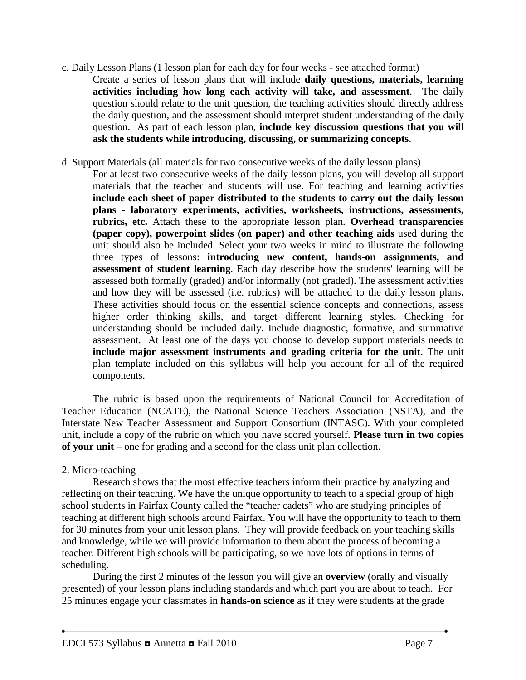- c. Daily Lesson Plans (1 lesson plan for each day for four weeks see attached format) Create a series of lesson plans that will include **daily questions, materials, learning activities including how long each activity will take, and assessment**. The daily question should relate to the unit question, the teaching activities should directly address the daily question, and the assessment should interpret student understanding of the daily question. As part of each lesson plan, **include key discussion questions that you will ask the students while introducing, discussing, or summarizing concepts**.
- d. Support Materials (all materials for two consecutive weeks of the daily lesson plans)
	- For at least two consecutive weeks of the daily lesson plans, you will develop all support materials that the teacher and students will use. For teaching and learning activities **include each sheet of paper distributed to the students to carry out the daily lesson plans - laboratory experiments, activities, worksheets, instructions, assessments, rubrics, etc.** Attach these to the appropriate lesson plan. **Overhead transparencies (paper copy), powerpoint slides (on paper) and other teaching aids** used during the unit should also be included. Select your two weeks in mind to illustrate the following three types of lessons: **introducing new content, hands-on assignments, and assessment of student learning**. Each day describe how the students' learning will be assessed both formally (graded) and/or informally (not graded). The assessment activities and how they will be assessed (i.e. rubrics) will be attached to the daily lesson plans**.**  These activities should focus on the essential science concepts and connections, assess higher order thinking skills, and target different learning styles. Checking for understanding should be included daily. Include diagnostic, formative, and summative assessment. At least one of the days you choose to develop support materials needs to **include major assessment instruments and grading criteria for the unit**. The unit plan template included on this syllabus will help you account for all of the required components.

The rubric is based upon the requirements of National Council for Accreditation of Teacher Education (NCATE), the National Science Teachers Association (NSTA), and the Interstate New Teacher Assessment and Support Consortium (INTASC). With your completed unit, include a copy of the rubric on which you have scored yourself. **Please turn in two copies of your unit** – one for grading and a second for the class unit plan collection.

## 2. Micro-teaching

Research shows that the most effective teachers inform their practice by analyzing and reflecting on their teaching. We have the unique opportunity to teach to a special group of high school students in Fairfax County called the "teacher cadets" who are studying principles of teaching at different high schools around Fairfax. You will have the opportunity to teach to them for 30 minutes from your unit lesson plans. They will provide feedback on your teaching skills and knowledge, while we will provide information to them about the process of becoming a teacher. Different high schools will be participating, so we have lots of options in terms of scheduling.

During the first 2 minutes of the lesson you will give an **overview** (orally and visually presented) of your lesson plans including standards and which part you are about to teach. For 25 minutes engage your classmates in **hands-on science** as if they were students at the grade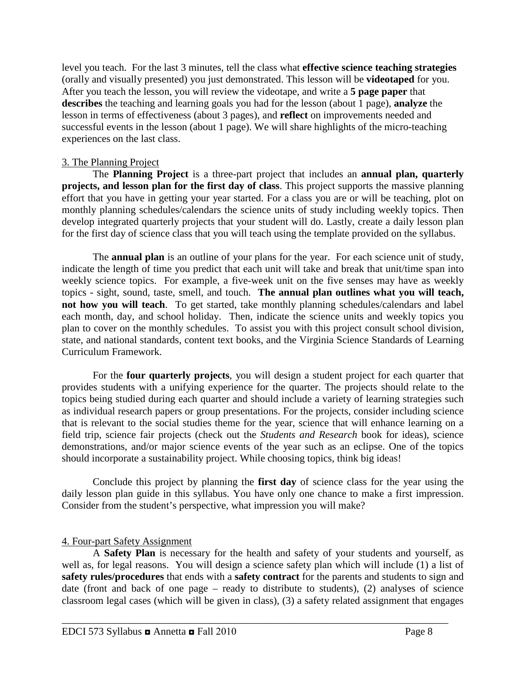level you teach. For the last 3 minutes, tell the class what **effective science teaching strategies**  (orally and visually presented) you just demonstrated. This lesson will be **videotaped** for you. After you teach the lesson, you will review the videotape, and write a **5 page paper** that **describes** the teaching and learning goals you had for the lesson (about 1 page), **analyze** the lesson in terms of effectiveness (about 3 pages), and **reflect** on improvements needed and successful events in the lesson (about 1 page). We will share highlights of the micro-teaching experiences on the last class.

### 3. The Planning Project

The **Planning Project** is a three-part project that includes an **annual plan, quarterly projects, and lesson plan for the first day of class**. This project supports the massive planning effort that you have in getting your year started. For a class you are or will be teaching, plot on monthly planning schedules/calendars the science units of study including weekly topics. Then develop integrated quarterly projects that your student will do. Lastly, create a daily lesson plan for the first day of science class that you will teach using the template provided on the syllabus.

The **annual plan** is an outline of your plans for the year. For each science unit of study, indicate the length of time you predict that each unit will take and break that unit/time span into weekly science topics. For example, a five-week unit on the five senses may have as weekly topics - sight, sound, taste, smell, and touch. **The annual plan outlines what you will teach, not how you will teach**. To get started, take monthly planning schedules/calendars and label each month, day, and school holiday. Then, indicate the science units and weekly topics you plan to cover on the monthly schedules. To assist you with this project consult school division, state, and national standards, content text books, and the Virginia Science Standards of Learning Curriculum Framework.

For the **four quarterly projects**, you will design a student project for each quarter that provides students with a unifying experience for the quarter. The projects should relate to the topics being studied during each quarter and should include a variety of learning strategies such as individual research papers or group presentations. For the projects, consider including science that is relevant to the social studies theme for the year, science that will enhance learning on a field trip, science fair projects (check out the *Students and Research* book for ideas), science demonstrations, and/or major science events of the year such as an eclipse. One of the topics should incorporate a sustainability project. While choosing topics, think big ideas!

Conclude this project by planning the **first day** of science class for the year using the daily lesson plan guide in this syllabus. You have only one chance to make a first impression. Consider from the student's perspective, what impression you will make?

## 4. Four-part Safety Assignment

A **Safety Plan** is necessary for the health and safety of your students and yourself, as well as, for legal reasons. You will design a science safety plan which will include (1) a list of **safety rules/procedures** that ends with a **safety contract** for the parents and students to sign and date (front and back of one page – ready to distribute to students), (2) analyses of science classroom legal cases (which will be given in class), (3) a safety related assignment that engages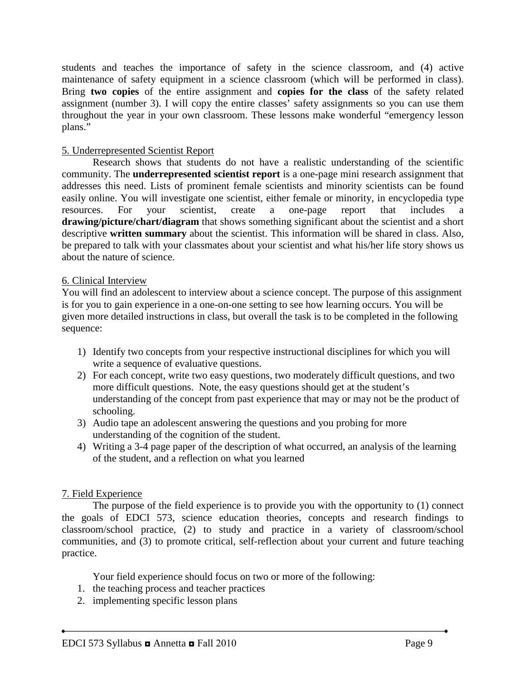students and teaches the importance of safety in the science classroom, and (4) active maintenance of safety equipment in a science classroom (which will be performed in class). Bring **two copies** of the entire assignment and **copies for the class** of the safety related assignment (number 3). I will copy the entire classes' safety assignments so you can use them throughout the year in your own classroom. These lessons make wonderful "emergency lesson plans."

### 5. Underrepresented Scientist Report

Research shows that students do not have a realistic understanding of the scientific community. The **underrepresented scientist report** is a one-page mini research assignment that addresses this need. Lists of prominent female scientists and minority scientists can be found easily online. You will investigate one scientist, either female or minority, in encyclopedia type resources. For your scientist, create a one-page report that includes a **drawing/picture/chart/diagram** that shows something significant about the scientist and a short descriptive **written summary** about the scientist. This information will be shared in class. Also, be prepared to talk with your classmates about your scientist and what his/her life story shows us about the nature of science.

#### 6. Clinical Interview

You will find an adolescent to interview about a science concept. The purpose of this assignment is for you to gain experience in a one-on-one setting to see how learning occurs. You will be given more detailed instructions in class, but overall the task is to be completed in the following sequence:

- 1) Identify two concepts from your respective instructional disciplines for which you will write a sequence of evaluative questions.
- 2) For each concept, write two easy questions, two moderately difficult questions, and two more difficult questions. Note, the easy questions should get at the student's understanding of the concept from past experience that may or may not be the product of schooling.
- 3) Audio tape an adolescent answering the questions and you probing for more understanding of the cognition of the student.
- 4) Writing a 3-4 page paper of the description of what occurred, an analysis of the learning of the student, and a reflection on what you learned

## 7. Field Experience

The purpose of the field experience is to provide you with the opportunity to (1) connect the goals of EDCI 573, science education theories, concepts and research findings to classroom/school practice, (2) to study and practice in a variety of classroom/school communities, and (3) to promote critical, self-reflection about your current and future teaching practice.

Your field experience should focus on two or more of the following:

- 1. the teaching process and teacher practices
- 2. implementing specific lesson plans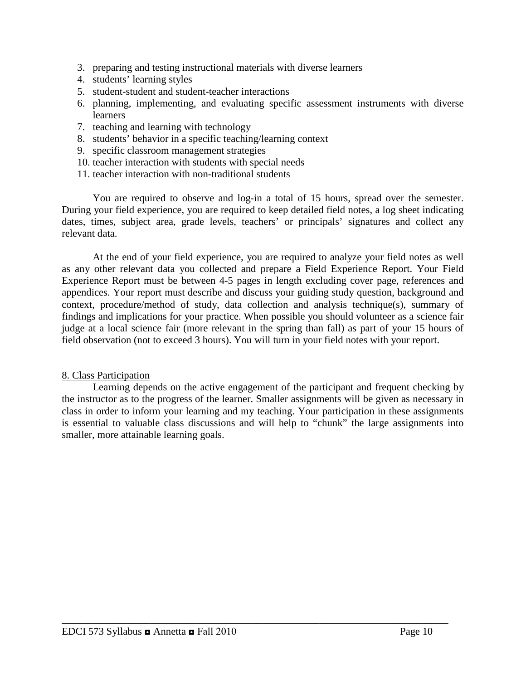- 3. preparing and testing instructional materials with diverse learners
- 4. students' learning styles
- 5. student-student and student-teacher interactions
- 6. planning, implementing, and evaluating specific assessment instruments with diverse learners
- 7. teaching and learning with technology
- 8. students' behavior in a specific teaching/learning context
- 9. specific classroom management strategies
- 10. teacher interaction with students with special needs
- 11. teacher interaction with non-traditional students

You are required to observe and log-in a total of 15 hours, spread over the semester. During your field experience, you are required to keep detailed field notes, a log sheet indicating dates, times, subject area, grade levels, teachers' or principals' signatures and collect any relevant data.

At the end of your field experience, you are required to analyze your field notes as well as any other relevant data you collected and prepare a Field Experience Report. Your Field Experience Report must be between 4-5 pages in length excluding cover page, references and appendices. Your report must describe and discuss your guiding study question, background and context, procedure/method of study, data collection and analysis technique(s), summary of findings and implications for your practice. When possible you should volunteer as a science fair judge at a local science fair (more relevant in the spring than fall) as part of your 15 hours of field observation (not to exceed 3 hours). You will turn in your field notes with your report.

#### 8. Class Participation

Learning depends on the active engagement of the participant and frequent checking by the instructor as to the progress of the learner. Smaller assignments will be given as necessary in class in order to inform your learning and my teaching. Your participation in these assignments is essential to valuable class discussions and will help to "chunk" the large assignments into smaller, more attainable learning goals.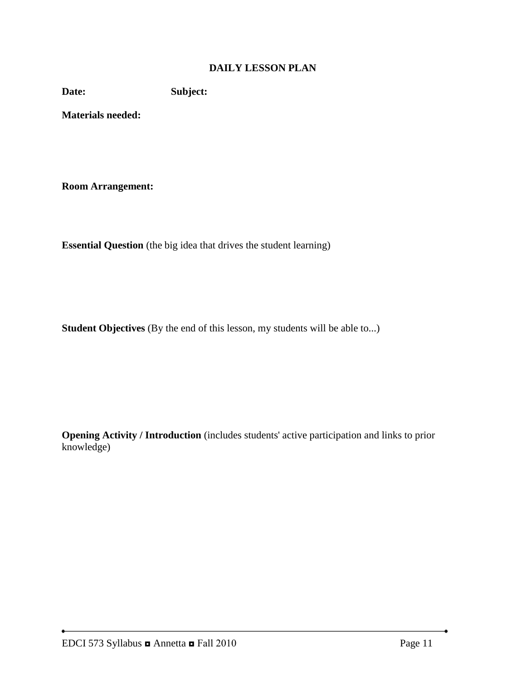## **DAILY LESSON PLAN**

**Date: Subject:**

**Materials needed:** 

**Room Arrangement:**

**Essential Question** (the big idea that drives the student learning)

**Student Objectives** (By the end of this lesson, my students will be able to...)

**Opening Activity / Introduction** (includes students' active participation and links to prior knowledge)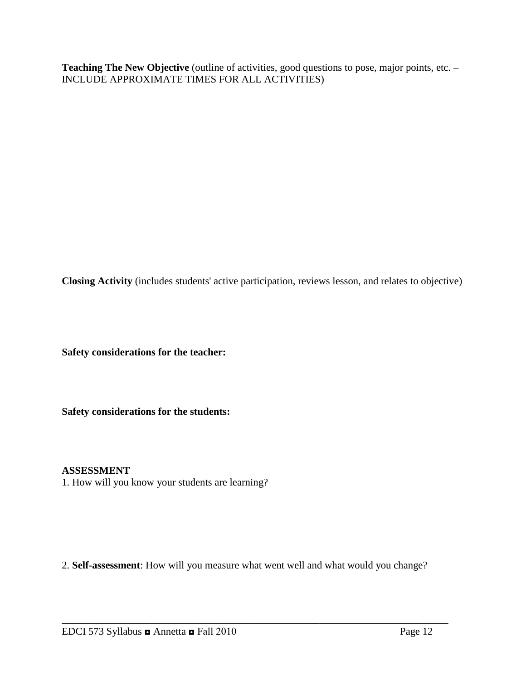Teaching The New Objective (outline of activities, good questions to pose, major points, etc. – INCLUDE APPROXIMATE TIMES FOR ALL ACTIVITIES)

**Closing Activity** (includes students' active participation, reviews lesson, and relates to objective)

**Safety considerations for the teacher:** 

**Safety considerations for the students:**

## **ASSESSMENT**

1. How will you know your students are learning?

2. **Self-assessment**: How will you measure what went well and what would you change?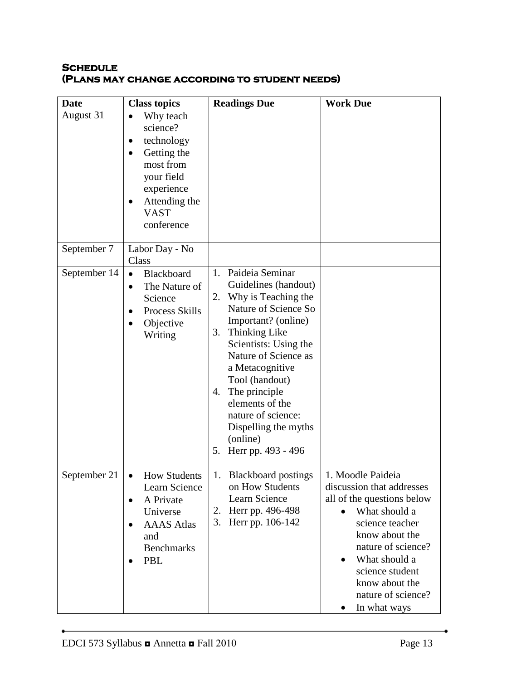## **Schedule (Plans may change according to student needs)**

| <b>Date</b>  | <b>Class topics</b>                                                                                                                                                              | <b>Readings Due</b>                                                                                                                                                                                                                                                                                                                                                 | <b>Work Due</b>                                                                                                                                                                                                                                                                |
|--------------|----------------------------------------------------------------------------------------------------------------------------------------------------------------------------------|---------------------------------------------------------------------------------------------------------------------------------------------------------------------------------------------------------------------------------------------------------------------------------------------------------------------------------------------------------------------|--------------------------------------------------------------------------------------------------------------------------------------------------------------------------------------------------------------------------------------------------------------------------------|
| August 31    | Why teach<br>$\bullet$<br>science?<br>technology<br>$\bullet$<br>Getting the<br>$\bullet$<br>most from<br>your field<br>experience<br>Attending the<br><b>VAST</b><br>conference |                                                                                                                                                                                                                                                                                                                                                                     |                                                                                                                                                                                                                                                                                |
| September 7  | Labor Day - No<br>Class                                                                                                                                                          |                                                                                                                                                                                                                                                                                                                                                                     |                                                                                                                                                                                                                                                                                |
| September 14 | Blackboard<br>$\bullet$<br>The Nature of<br>$\bullet$<br>Science<br>Process Skills<br>$\bullet$<br>Objective<br>$\bullet$<br>Writing                                             | Paideia Seminar<br>1.<br>Guidelines (handout)<br>Why is Teaching the<br>2.<br>Nature of Science So<br>Important? (online)<br>3. Thinking Like<br>Scientists: Using the<br>Nature of Science as<br>a Metacognitive<br>Tool (handout)<br>The principle<br>4.<br>elements of the<br>nature of science:<br>Dispelling the myths<br>(online)<br>Herr pp. 493 - 496<br>5. |                                                                                                                                                                                                                                                                                |
| September 21 | <b>How Students</b><br>$\bullet$<br>Learn Science<br>A Private<br>$\bullet$<br>Universe<br><b>AAAS</b> Atlas<br>$\bullet$<br>and<br><b>Benchmarks</b><br>PBL                     | <b>Blackboard postings</b><br>1.<br>on How Students<br>Learn Science<br>2. Herr pp. 496-498<br>3. Herr pp. 106-142                                                                                                                                                                                                                                                  | 1. Moodle Paideia<br>discussion that addresses<br>all of the questions below<br>What should a<br>$\bullet$<br>science teacher<br>know about the<br>nature of science?<br>What should a<br>$\bullet$<br>science student<br>know about the<br>nature of science?<br>In what ways |

 $\bullet$ 

 $\overline{\phantom{a}}$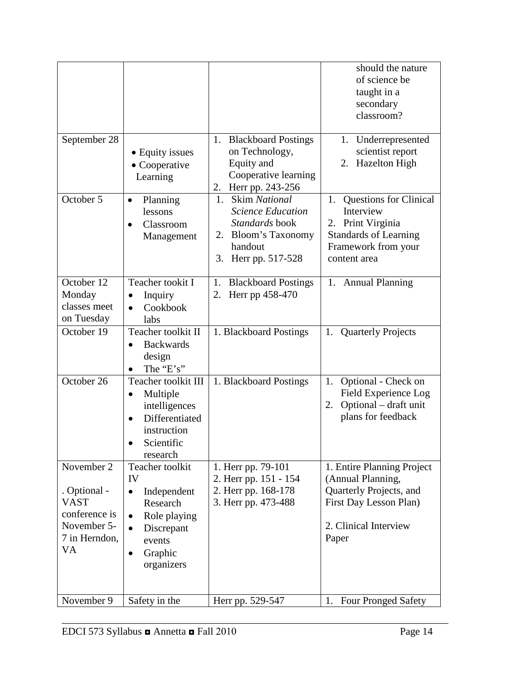|                                                                                           |                                                                                                                                                    |                                                                                                                                      | should the nature<br>of science be<br>taught in a<br>secondary<br>classroom?                                                                    |
|-------------------------------------------------------------------------------------------|----------------------------------------------------------------------------------------------------------------------------------------------------|--------------------------------------------------------------------------------------------------------------------------------------|-------------------------------------------------------------------------------------------------------------------------------------------------|
| September 28                                                                              | • Equity issues<br>• Cooperative<br>Learning                                                                                                       | 1. Blackboard Postings<br>on Technology,<br>Equity and<br>Cooperative learning<br>2. Herr pp. 243-256                                | Underrepresented<br>1.<br>scientist report<br>2. Hazelton High                                                                                  |
| October 5                                                                                 | Planning<br>$\bullet$<br>lessons<br>Classroom<br>Management                                                                                        | <b>Skim National</b><br>1.<br><b>Science Education</b><br>Standards book<br>2. Bloom's Taxonomy<br>handout<br>Herr pp. 517-528<br>3. | <b>Questions for Clinical</b><br>1.<br>Interview<br>Print Virginia<br>2.<br><b>Standards of Learning</b><br>Framework from your<br>content area |
| October $12$<br>Monday<br>classes meet<br>on Tuesday                                      | Teacher tookit I<br>Inquiry<br>$\bullet$<br>Cookbook<br>$\bullet$<br>labs                                                                          | 1. Blackboard Postings<br>Herr pp 458-470<br>2.                                                                                      | 1. Annual Planning                                                                                                                              |
| October 19                                                                                | Teacher toolkit II<br><b>Backwards</b><br>design<br>The "E's"                                                                                      | 1. Blackboard Postings                                                                                                               | 1. Quarterly Projects                                                                                                                           |
| October 26                                                                                | Teacher toolkit III<br>Multiple<br>$\bullet$<br>intelligences<br>Differentiated<br>$\bullet$<br>instruction<br>Scientific<br>research              | 1. Blackboard Postings                                                                                                               | Optional - Check on<br>1.<br>Field Experience Log<br>Optional - draft unit<br>2.<br>plans for feedback                                          |
| November 2                                                                                | Teacher toolkit                                                                                                                                    | 1. Herr pp. 79-101                                                                                                                   | 1. Entire Planning Project                                                                                                                      |
| . Optional -<br><b>VAST</b><br>conference is<br>November 5-<br>7 in Herndon,<br><b>VA</b> | IV<br>Independent<br>$\bullet$<br>Research<br>Role playing<br>$\bullet$<br>Discrepant<br>$\bullet$<br>events<br>Graphic<br>$\bullet$<br>organizers | 2. Herr pp. 151 - 154<br>2. Herr pp. 168-178<br>3. Herr pp. 473-488                                                                  | (Annual Planning,<br>Quarterly Projects, and<br>First Day Lesson Plan)<br>2. Clinical Interview<br>Paper                                        |
| November 9                                                                                | Safety in the                                                                                                                                      | Herr pp. 529-547                                                                                                                     | <b>Four Pronged Safety</b><br>1.                                                                                                                |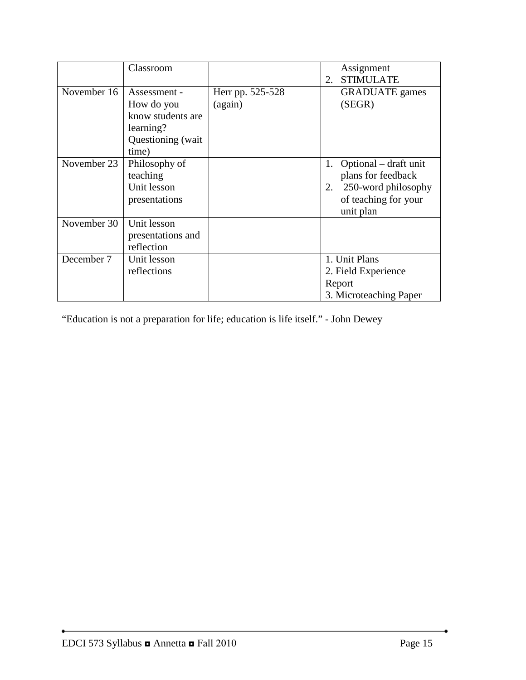|             | Classroom                                                                                  |                             | Assignment<br><b>STIMULATE</b><br>2.                                                                                |
|-------------|--------------------------------------------------------------------------------------------|-----------------------------|---------------------------------------------------------------------------------------------------------------------|
| November 16 | Assessment -<br>How do you<br>know students are<br>learning?<br>Questioning (wait<br>time) | Herr pp. 525-528<br>(again) | <b>GRADUATE</b> games<br>(SEGR)                                                                                     |
| November 23 | Philosophy of<br>teaching<br>Unit lesson<br>presentations                                  |                             | Optional – draft unit<br>1.<br>plans for feedback<br>250-word philosophy<br>2.<br>of teaching for your<br>unit plan |
| November 30 | Unit lesson<br>presentations and<br>reflection                                             |                             |                                                                                                                     |
| December 7  | Unit lesson<br>reflections                                                                 |                             | 1. Unit Plans<br>2. Field Experience<br>Report<br>3. Microteaching Paper                                            |

"Education is not a preparation for life; education is life itself." - John Dewey

٠